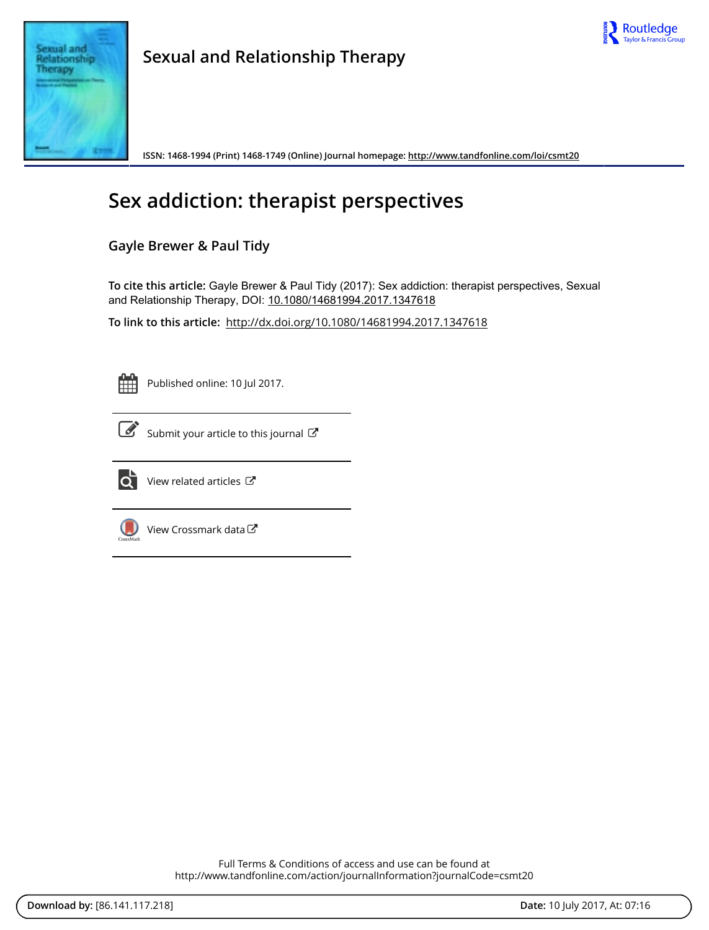



Sexual and Relationship Therapy

ISSN: 1468-1994 (Print) 1468-1749 (Online) Journal homepage:<http://www.tandfonline.com/loi/csmt20>

# Sex addiction: therapist perspectives

Gayle Brewer & Paul Tidy

To cite this article: Gayle Brewer & Paul Tidy (2017): Sex addiction: therapist perspectives, Sexual and Relationship Therapy, DOI: [10.1080/14681994.2017.1347618](http://www.tandfonline.com/action/showCitFormats?doi=10.1080/14681994.2017.1347618)

To link to this article: <http://dx.doi.org/10.1080/14681994.2017.1347618>



Published online: 10 Jul 2017.



 $\overrightarrow{S}$  [Submit your article to this journal](http://www.tandfonline.com/action/authorSubmission?journalCode=csmt20&show=instructions)  $\overrightarrow{S}$ 



 $\overrightarrow{Q}$  [View related articles](http://www.tandfonline.com/doi/mlt/10.1080/14681994.2017.1347618)  $\overrightarrow{C}$ 



[View Crossmark data](http://crossmark.crossref.org/dialog/?doi=10.1080/14681994.2017.1347618&domain=pdf&date_stamp=2017-07-10)

Full Terms & Conditions of access and use can be found at <http://www.tandfonline.com/action/journalInformation?journalCode=csmt20>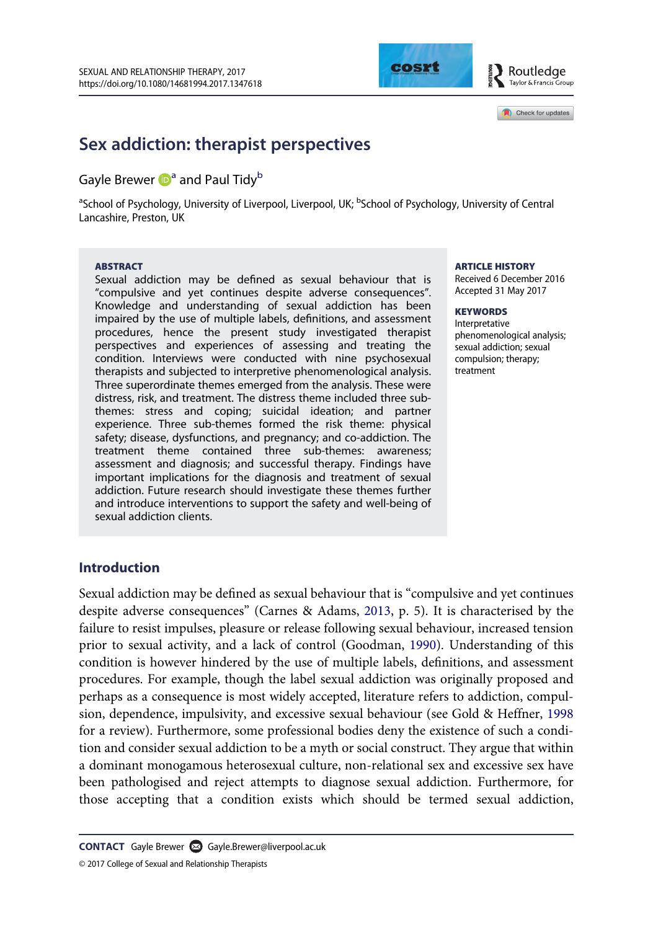

 $\sum_{\text{Bayes}}^{\text{g}}\sum_{\text{Taylor & Francis Group}}% \sum_{\text{Cov}:\text{B}}^{\text{Cov}}\sum_{\text{Cov}:\text{Bov}_{\text{Cov}}}\left\{ \begin{array}{lcl} 0 & \text{if } \text{Cov}_{\text{Cov}}\left(\text{Gov}_{\text{Cov}}\right) & \text{if } \text{Cov}_{\text{Cov}}\left(\text{Gov}_{\text{Cov}}\right) \end{array} \right\} \label{eq:ex3}$ 

Check for updates

# Sex addiction: therapist perspectives

### Gayle B[r](http://orcid.org/0000-0003-0690-4548)ewer **D**<sup>[a](#page-1-0)</sup> and Paul Tidy<sup>b</sup>

<span id="page-1-0"></span><sup>a</sup>School of Psychology, University of Liverpool, Liverpool, UK; <sup>b</sup>School of Psychology, University of Central Lancashire, Preston, UK

#### **ABSTRACT**

Sexual addiction may be defined as sexual behaviour that is "compulsive and yet continues despite adverse consequences". Knowledge and understanding of sexual addiction has been impaired by the use of multiple labels, definitions, and assessment procedures, hence the present study investigated therapist perspectives and experiences of assessing and treating the condition. Interviews were conducted with nine psychosexual therapists and subjected to interpretive phenomenological analysis. Three superordinate themes emerged from the analysis. These were distress, risk, and treatment. The distress theme included three subthemes: stress and coping; suicidal ideation; and partner experience. Three sub-themes formed the risk theme: physical safety; disease, dysfunctions, and pregnancy; and co-addiction. The treatment theme contained three sub-themes: awareness; assessment and diagnosis; and successful therapy. Findings have important implications for the diagnosis and treatment of sexual addiction. Future research should investigate these themes further and introduce interventions to support the safety and well-being of sexual addiction clients.

#### ARTICLE HISTORY

Received 6 December 2016 Accepted 31 May 2017

#### **KEYWORDS**

Interpretative phenomenological analysis; sexual addiction; sexual compulsion; therapy; treatment

### **Introduction**

<span id="page-1-3"></span><span id="page-1-2"></span><span id="page-1-1"></span>Sexual addiction may be defined as sexual behaviour that is "compulsive and yet continues despite adverse consequences" (Carnes & Adams, [2013](#page-12-0), p. 5). It is characterised by the failure to resist impulses, pleasure or release following sexual behaviour, increased tension prior to sexual activity, and a lack of control (Goodman, [1990\)](#page-12-1). Understanding of this condition is however hindered by the use of multiple labels, definitions, and assessment procedures. For example, though the label sexual addiction was originally proposed and perhaps as a consequence is most widely accepted, literature refers to addiction, compulsion, dependence, impulsivity, and excessive sexual behaviour (see Gold & Heffner, [1998](#page-12-2) for a review). Furthermore, some professional bodies deny the existence of such a condition and consider sexual addiction to be a myth or social construct. They argue that within a dominant monogamous heterosexual culture, non-relational sex and excessive sex have been pathologised and reject attempts to diagnose sexual addiction. Furthermore, for those accepting that a condition exists which should be termed sexual addiction,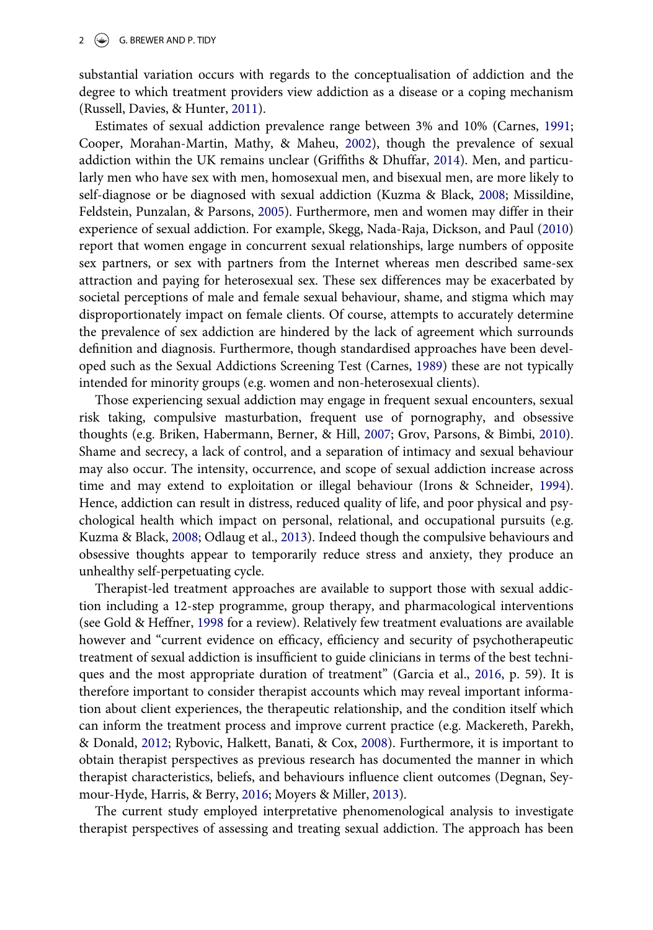substantial variation occurs with regards to the conceptualisation of addiction and the degree to which treatment providers view addiction as a disease or a coping mechanism (Russell, Davies, & Hunter, [2011](#page-13-0)).

<span id="page-2-12"></span><span id="page-2-11"></span><span id="page-2-10"></span><span id="page-2-6"></span><span id="page-2-3"></span><span id="page-2-2"></span>Estimates of sexual addiction prevalence range between 3% and 10% (Carnes, [1991](#page-12-3); Cooper, Morahan-Martin, Mathy, & Maheu, [2002\)](#page-12-4), though the prevalence of sexual addiction within the UK remains unclear (Griffiths & Dhuffar, [2014\)](#page-13-1). Men, and particularly men who have sex with men, homosexual men, and bisexual men, are more likely to self-diagnose or be diagnosed with sexual addiction (Kuzma & Black, [2008;](#page-13-2) Missildine, Feldstein, Punzalan, & Parsons, [2005\)](#page-13-3). Furthermore, men and women may differ in their experience of sexual addiction. For example, Skegg, Nada-Raja, Dickson, and Paul ([2010\)](#page-14-0) report that women engage in concurrent sexual relationships, large numbers of opposite sex partners, or sex with partners from the Internet whereas men described same-sex attraction and paying for heterosexual sex. These sex differences may be exacerbated by societal perceptions of male and female sexual behaviour, shame, and stigma which may disproportionately impact on female clients. Of course, attempts to accurately determine the prevalence of sex addiction are hindered by the lack of agreement which surrounds definition and diagnosis. Furthermore, though standardised approaches have been developed such as the Sexual Addictions Screening Test (Carnes, [1989](#page-12-5)) these are not typically intended for minority groups (e.g. women and non-heterosexual clients).

<span id="page-2-7"></span><span id="page-2-1"></span><span id="page-2-0"></span>Those experiencing sexual addiction may engage in frequent sexual encounters, sexual risk taking, compulsive masturbation, frequent use of pornography, and obsessive thoughts (e.g. Briken, Habermann, Berner, & Hill, [2007](#page-12-6); Grov, Parsons, & Bimbi, [2010\)](#page-13-4). Shame and secrecy, a lack of control, and a separation of intimacy and sexual behaviour may also occur. The intensity, occurrence, and scope of sexual addiction increase across time and may extend to exploitation or illegal behaviour (Irons & Schneider, [1994\)](#page-13-5). Hence, addiction can result in distress, reduced quality of life, and poor physical and psychological health which impact on personal, relational, and occupational pursuits (e.g. Kuzma & Black, [2008;](#page-13-2) Odlaug et al., [2013](#page-13-6)). Indeed though the compulsive behaviours and obsessive thoughts appear to temporarily reduce stress and anxiety, they produce an unhealthy self-perpetuating cycle.

<span id="page-2-8"></span><span id="page-2-5"></span>Therapist-led treatment approaches are available to support those with sexual addiction including a 12-step programme, group therapy, and pharmacological interventions (see Gold & Heffner, [1998](#page-12-2) for a review). Relatively few treatment evaluations are available however and "current evidence on efficacy, efficiency and security of psychotherapeutic treatment of sexual addiction is insufficient to guide clinicians in terms of the best techniques and the most appropriate duration of treatment" (Garcia et al., [2016,](#page-12-7) p. 59). It is therefore important to consider therapist accounts which may reveal important information about client experiences, the therapeutic relationship, and the condition itself which can inform the treatment process and improve current practice (e.g. Mackereth, Parekh, & Donald, [2012;](#page-13-7) Rybovic, Halkett, Banati, & Cox, [2008\)](#page-13-8). Furthermore, it is important to obtain therapist perspectives as previous research has documented the manner in which therapist characteristics, beliefs, and behaviours influence client outcomes (Degnan, Seymour-Hyde, Harris, & Berry, [2016;](#page-12-8) Moyers & Miller, [2013](#page-13-9)).

<span id="page-2-9"></span><span id="page-2-4"></span>The current study employed interpretative phenomenological analysis to investigate therapist perspectives of assessing and treating sexual addiction. The approach has been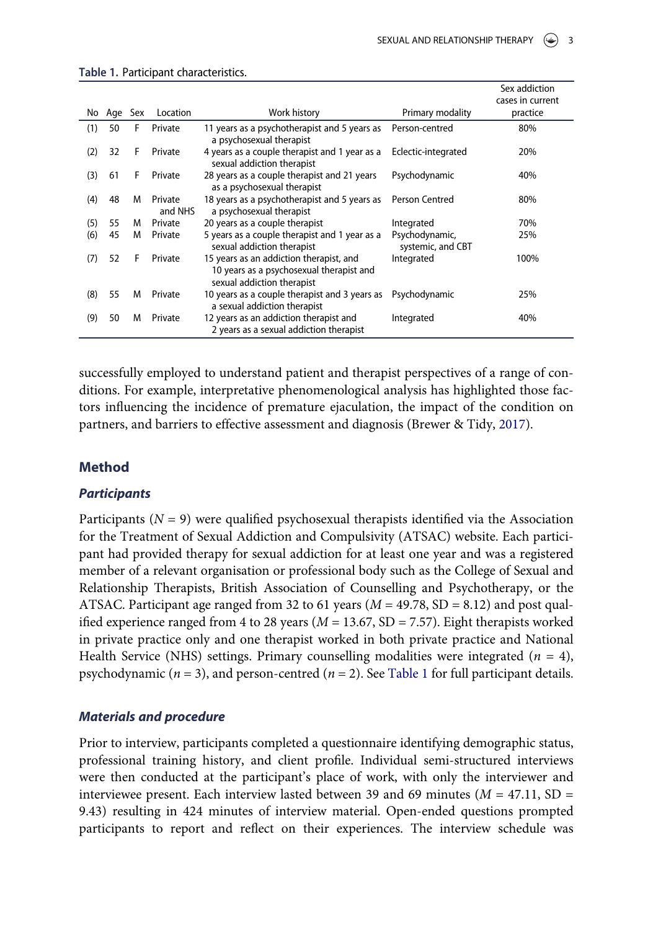|     |            |   |                    |                                                                                                                   |                                     | Sex addiction<br>cases in current |
|-----|------------|---|--------------------|-------------------------------------------------------------------------------------------------------------------|-------------------------------------|-----------------------------------|
|     | No Age Sex |   | Location           | Work history                                                                                                      | Primary modality                    | practice                          |
| (1) | 50         | F | Private            | 11 years as a psychotherapist and 5 years as<br>a psychosexual therapist                                          | Person-centred                      | 80%                               |
| (2) | 32         | F | Private            | 4 years as a couple therapist and 1 year as a<br>sexual addiction therapist                                       | Eclectic-integrated                 | 20%                               |
| (3) | 61         | F | Private            | 28 years as a couple therapist and 21 years<br>as a psychosexual therapist                                        | Psychodynamic                       | 40%                               |
| (4) | 48         | м | Private<br>and NHS | 18 years as a psychotherapist and 5 years as<br>a psychosexual therapist                                          | Person Centred                      | 80%                               |
| (5) | 55         | м | Private            | 20 years as a couple therapist                                                                                    | Integrated                          | 70%                               |
| (6) | 45         | м | Private            | 5 years as a couple therapist and 1 year as a<br>sexual addiction therapist                                       | Psychodynamic,<br>systemic, and CBT | 25%                               |
| (7) | 52         | F | Private            | 15 years as an addiction therapist, and<br>10 years as a psychosexual therapist and<br>sexual addiction therapist | Integrated                          | 100%                              |
| (8) | 55         | M | Private            | 10 years as a couple therapist and 3 years as<br>a sexual addiction therapist                                     | Psychodynamic                       | 25%                               |
| (9) | 50         | м | Private            | 12 years as an addiction therapist and<br>2 years as a sexual addiction therapist                                 | Integrated                          | 40%                               |

### <span id="page-3-0"></span>Table 1. Participant characteristics.

successfully employed to understand patient and therapist perspectives of a range of conditions. For example, interpretative phenomenological analysis has highlighted those factors influencing the incidence of premature ejaculation, the impact of the condition on partners, and barriers to effective assessment and diagnosis (Brewer & Tidy, [2017](#page-12-9)).

### <span id="page-3-1"></span>Method

### **Participants**

Participants ( $N = 9$ ) were qualified psychosexual therapists identified via the Association for the Treatment of Sexual Addiction and Compulsivity (ATSAC) website. Each participant had provided therapy for sexual addiction for at least one year and was a registered member of a relevant organisation or professional body such as the College of Sexual and Relationship Therapists, British Association of Counselling and Psychotherapy, or the ATSAC. Participant age ranged from 32 to 61 years ( $M = 49.78$ , SD = 8.12) and post qualified experience ranged from 4 to 28 years ( $M = 13.67$ , SD = 7.57). Eight therapists worked in private practice only and one therapist worked in both private practice and National Health Service (NHS) settings. Primary counselling modalities were integrated ( $n = 4$ ), psychodynamic ( $n = 3$ ), and person-centred ( $n = 2$ ). See [Table 1](#page-3-0) for full participant details.

### Materials and procedure

Prior to interview, participants completed a questionnaire identifying demographic status, professional training history, and client profile. Individual semi-structured interviews were then conducted at the participant's place of work, with only the interviewer and interviewee present. Each interview lasted between 39 and 69 minutes ( $M = 47.11$ , SD = 9.43) resulting in 424 minutes of interview material. Open-ended questions prompted participants to report and reflect on their experiences. The interview schedule was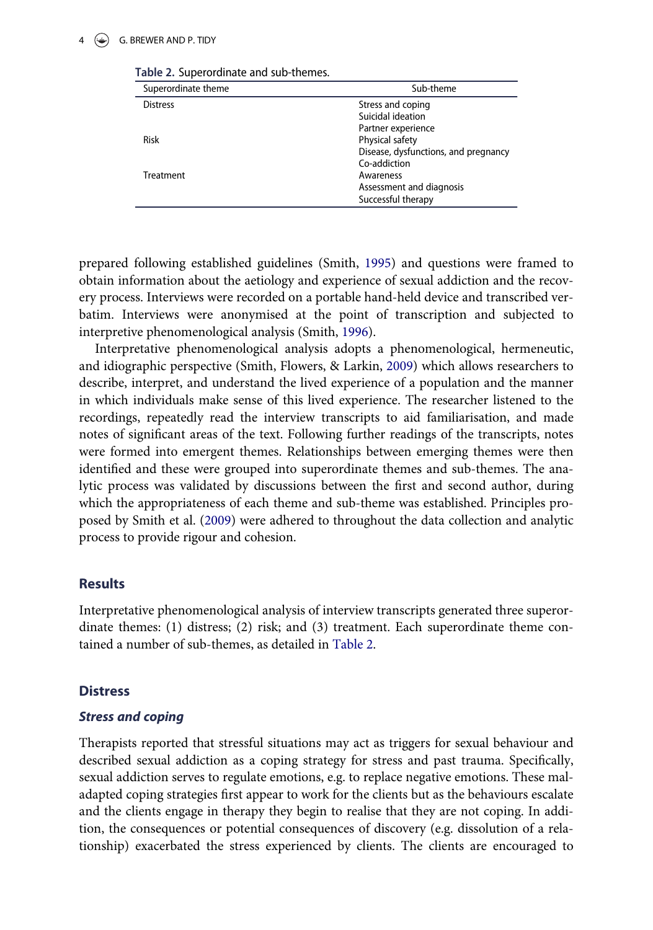| Superordinate theme | Sub-theme                                                   |
|---------------------|-------------------------------------------------------------|
| <b>Distress</b>     | Stress and coping<br>Suicidal ideation                      |
| Risk                | Partner experience<br>Physical safety                       |
|                     | Disease, dysfunctions, and pregnancy<br>Co-addiction        |
| Treatment           | Awareness<br>Assessment and diagnosis<br>Successful therapy |

<span id="page-4-0"></span>Table 2. Superordinate and sub-themes.

<span id="page-4-1"></span>prepared following established guidelines (Smith, [1995\)](#page-14-1) and questions were framed to obtain information about the aetiology and experience of sexual addiction and the recovery process. Interviews were recorded on a portable hand-held device and transcribed verbatim. Interviews were anonymised at the point of transcription and subjected to interpretive phenomenological analysis (Smith, [1996](#page-14-2)).

<span id="page-4-2"></span>Interpretative phenomenological analysis adopts a phenomenological, hermeneutic, and idiographic perspective (Smith, Flowers, & Larkin, [2009](#page-14-3)) which allows researchers to describe, interpret, and understand the lived experience of a population and the manner in which individuals make sense of this lived experience. The researcher listened to the recordings, repeatedly read the interview transcripts to aid familiarisation, and made notes of significant areas of the text. Following further readings of the transcripts, notes were formed into emergent themes. Relationships between emerging themes were then identified and these were grouped into superordinate themes and sub-themes. The analytic process was validated by discussions between the first and second author, during which the appropriateness of each theme and sub-theme was established. Principles proposed by Smith et al. ([2009\)](#page-14-3) were adhered to throughout the data collection and analytic

**Results** 

<span id="page-4-3"></span>process to provide rigour and cohesion.

Interpretative phenomenological analysis of interview transcripts generated three superordinate themes: (1) distress; (2) risk; and (3) treatment. Each superordinate theme contained a number of sub-themes, as detailed in [Table 2.](#page-4-0)

### **Distress**

### Stress and coping

Therapists reported that stressful situations may act as triggers for sexual behaviour and described sexual addiction as a coping strategy for stress and past trauma. Specifically, sexual addiction serves to regulate emotions, e.g. to replace negative emotions. These maladapted coping strategies first appear to work for the clients but as the behaviours escalate and the clients engage in therapy they begin to realise that they are not coping. In addition, the consequences or potential consequences of discovery (e.g. dissolution of a relationship) exacerbated the stress experienced by clients. The clients are encouraged to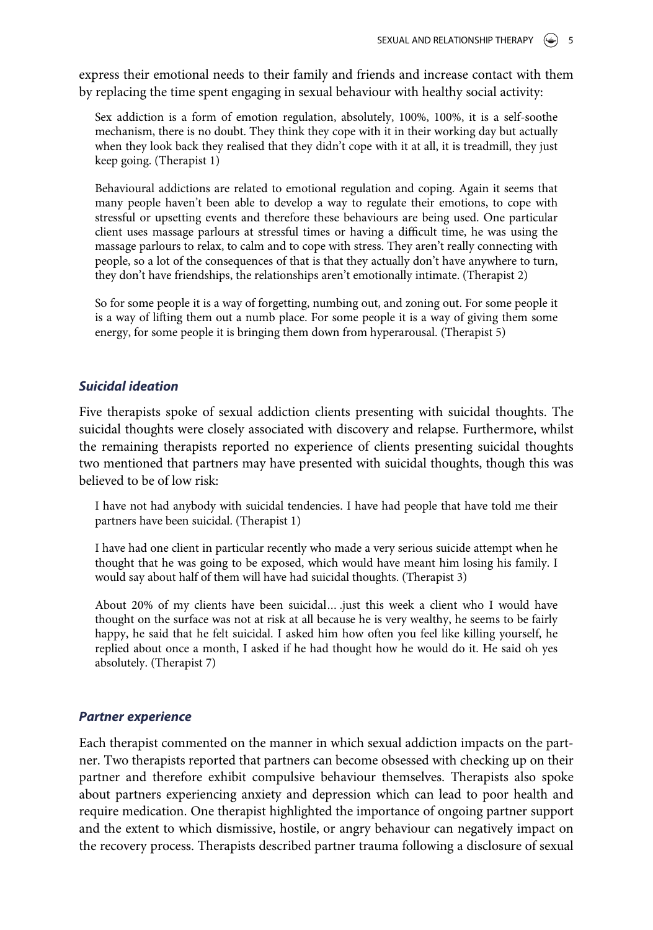express their emotional needs to their family and friends and increase contact with them by replacing the time spent engaging in sexual behaviour with healthy social activity:

Sex addiction is a form of emotion regulation, absolutely, 100%, 100%, it is a self-soothe mechanism, there is no doubt. They think they cope with it in their working day but actually when they look back they realised that they didn't cope with it at all, it is treadmill, they just keep going. (Therapist 1)

Behavioural addictions are related to emotional regulation and coping. Again it seems that many people haven't been able to develop a way to regulate their emotions, to cope with stressful or upsetting events and therefore these behaviours are being used. One particular client uses massage parlours at stressful times or having a difficult time, he was using the massage parlours to relax, to calm and to cope with stress. They aren't really connecting with people, so a lot of the consequences of that is that they actually don't have anywhere to turn, they don't have friendships, the relationships aren't emotionally intimate. (Therapist 2)

So for some people it is a way of forgetting, numbing out, and zoning out. For some people it is a way of lifting them out a numb place. For some people it is a way of giving them some energy, for some people it is bringing them down from hyperarousal. (Therapist 5)

### Suicidal ideation

Five therapists spoke of sexual addiction clients presenting with suicidal thoughts. The suicidal thoughts were closely associated with discovery and relapse. Furthermore, whilst the remaining therapists reported no experience of clients presenting suicidal thoughts two mentioned that partners may have presented with suicidal thoughts, though this was believed to be of low risk:

I have not had anybody with suicidal tendencies. I have had people that have told me their partners have been suicidal. (Therapist 1)

I have had one client in particular recently who made a very serious suicide attempt when he thought that he was going to be exposed, which would have meant him losing his family. I would say about half of them will have had suicidal thoughts. (Therapist 3)

About 20% of my clients have been suicidal… .just this week a client who I would have thought on the surface was not at risk at all because he is very wealthy, he seems to be fairly happy, he said that he felt suicidal. I asked him how often you feel like killing yourself, he replied about once a month, I asked if he had thought how he would do it. He said oh yes absolutely. (Therapist 7)

### Partner experience

Each therapist commented on the manner in which sexual addiction impacts on the partner. Two therapists reported that partners can become obsessed with checking up on their partner and therefore exhibit compulsive behaviour themselves. Therapists also spoke about partners experiencing anxiety and depression which can lead to poor health and require medication. One therapist highlighted the importance of ongoing partner support and the extent to which dismissive, hostile, or angry behaviour can negatively impact on the recovery process. Therapists described partner trauma following a disclosure of sexual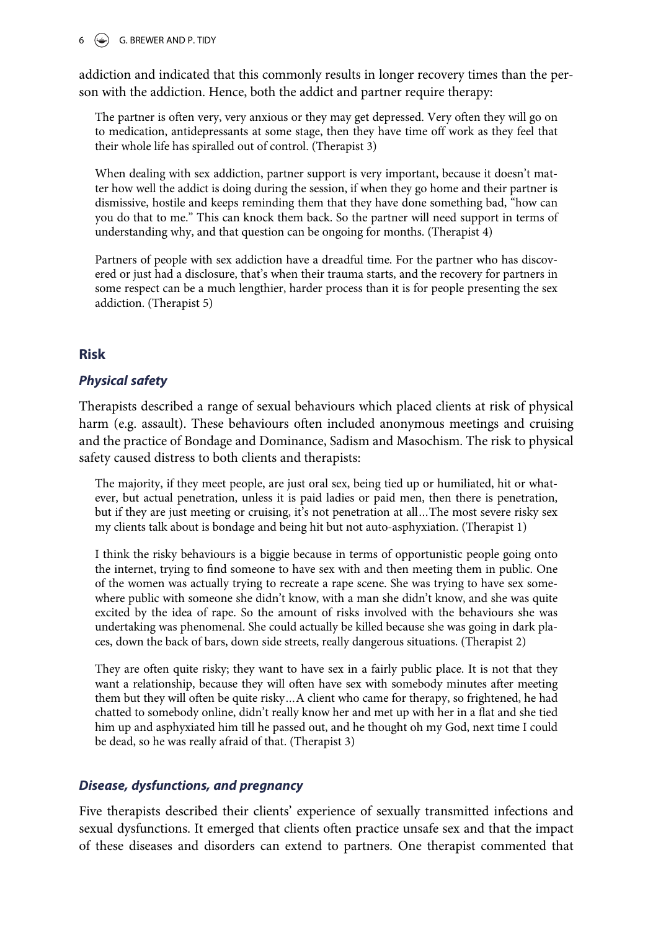addiction and indicated that this commonly results in longer recovery times than the person with the addiction. Hence, both the addict and partner require therapy:

The partner is often very, very anxious or they may get depressed. Very often they will go on to medication, antidepressants at some stage, then they have time off work as they feel that their whole life has spiralled out of control. (Therapist 3)

When dealing with sex addiction, partner support is very important, because it doesn't matter how well the addict is doing during the session, if when they go home and their partner is dismissive, hostile and keeps reminding them that they have done something bad, "how can you do that to me." This can knock them back. So the partner will need support in terms of understanding why, and that question can be ongoing for months. (Therapist 4)

Partners of people with sex addiction have a dreadful time. For the partner who has discovered or just had a disclosure, that's when their trauma starts, and the recovery for partners in some respect can be a much lengthier, harder process than it is for people presenting the sex addiction. (Therapist 5)

# Risk

# Physical safety

Therapists described a range of sexual behaviours which placed clients at risk of physical harm (e.g. assault). These behaviours often included anonymous meetings and cruising and the practice of Bondage and Dominance, Sadism and Masochism. The risk to physical safety caused distress to both clients and therapists:

The majority, if they meet people, are just oral sex, being tied up or humiliated, hit or whatever, but actual penetration, unless it is paid ladies or paid men, then there is penetration, but if they are just meeting or cruising, it's not penetration at all…The most severe risky sex my clients talk about is bondage and being hit but not auto-asphyxiation. (Therapist 1)

I think the risky behaviours is a biggie because in terms of opportunistic people going onto the internet, trying to find someone to have sex with and then meeting them in public. One of the women was actually trying to recreate a rape scene. She was trying to have sex somewhere public with someone she didn't know, with a man she didn't know, and she was quite excited by the idea of rape. So the amount of risks involved with the behaviours she was undertaking was phenomenal. She could actually be killed because she was going in dark places, down the back of bars, down side streets, really dangerous situations. (Therapist 2)

They are often quite risky; they want to have sex in a fairly public place. It is not that they want a relationship, because they will often have sex with somebody minutes after meeting them but they will often be quite risky…A client who came for therapy, so frightened, he had chatted to somebody online, didn't really know her and met up with her in a flat and she tied him up and asphyxiated him till he passed out, and he thought oh my God, next time I could be dead, so he was really afraid of that. (Therapist 3)

# Disease, dysfunctions, and pregnancy

Five therapists described their clients' experience of sexually transmitted infections and sexual dysfunctions. It emerged that clients often practice unsafe sex and that the impact of these diseases and disorders can extend to partners. One therapist commented that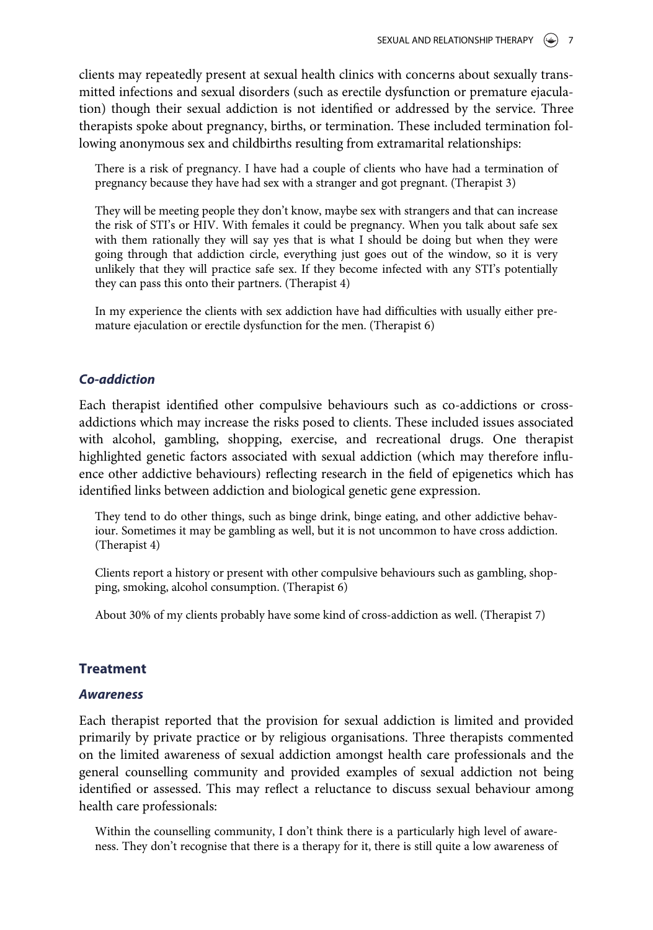clients may repeatedly present at sexual health clinics with concerns about sexually transmitted infections and sexual disorders (such as erectile dysfunction or premature ejaculation) though their sexual addiction is not identified or addressed by the service. Three therapists spoke about pregnancy, births, or termination. These included termination following anonymous sex and childbirths resulting from extramarital relationships:

There is a risk of pregnancy. I have had a couple of clients who have had a termination of pregnancy because they have had sex with a stranger and got pregnant. (Therapist 3)

They will be meeting people they don't know, maybe sex with strangers and that can increase the risk of STI's or HIV. With females it could be pregnancy. When you talk about safe sex with them rationally they will say yes that is what I should be doing but when they were going through that addiction circle, everything just goes out of the window, so it is very unlikely that they will practice safe sex. If they become infected with any STI's potentially they can pass this onto their partners. (Therapist 4)

In my experience the clients with sex addiction have had difficulties with usually either premature ejaculation or erectile dysfunction for the men. (Therapist 6)

### Co-addiction

Each therapist identified other compulsive behaviours such as co-addictions or crossaddictions which may increase the risks posed to clients. These included issues associated with alcohol, gambling, shopping, exercise, and recreational drugs. One therapist highlighted genetic factors associated with sexual addiction (which may therefore influence other addictive behaviours) reflecting research in the field of epigenetics which has identified links between addiction and biological genetic gene expression.

They tend to do other things, such as binge drink, binge eating, and other addictive behaviour. Sometimes it may be gambling as well, but it is not uncommon to have cross addiction. (Therapist 4)

Clients report a history or present with other compulsive behaviours such as gambling, shopping, smoking, alcohol consumption. (Therapist 6)

About 30% of my clients probably have some kind of cross-addiction as well. (Therapist 7)

# **Treatment**

### Awareness

Each therapist reported that the provision for sexual addiction is limited and provided primarily by private practice or by religious organisations. Three therapists commented on the limited awareness of sexual addiction amongst health care professionals and the general counselling community and provided examples of sexual addiction not being identified or assessed. This may reflect a reluctance to discuss sexual behaviour among health care professionals:

Within the counselling community, I don't think there is a particularly high level of awareness. They don't recognise that there is a therapy for it, there is still quite a low awareness of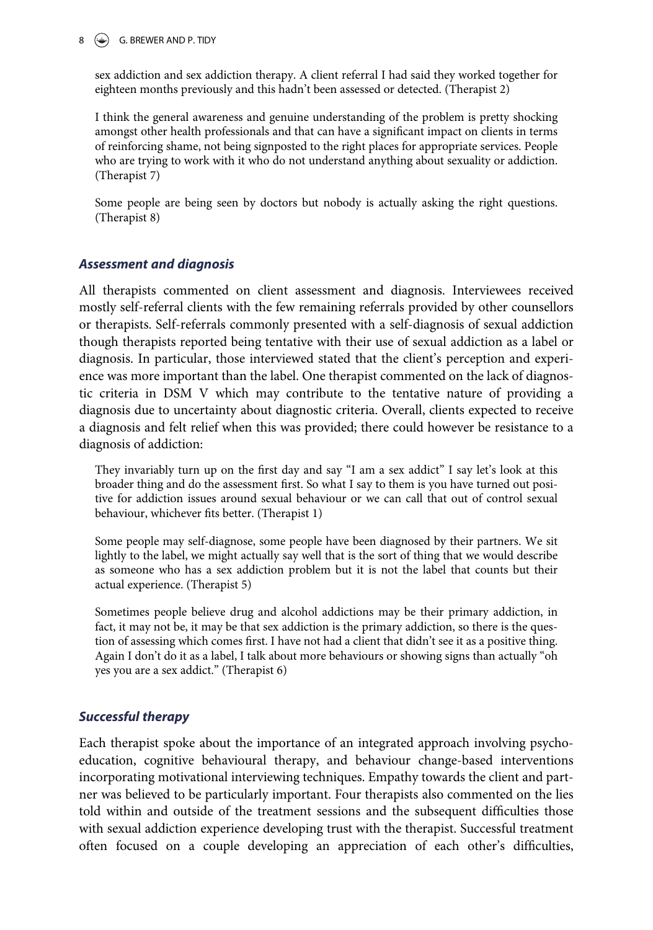sex addiction and sex addiction therapy. A client referral I had said they worked together for eighteen months previously and this hadn't been assessed or detected. (Therapist 2)

I think the general awareness and genuine understanding of the problem is pretty shocking amongst other health professionals and that can have a significant impact on clients in terms of reinforcing shame, not being signposted to the right places for appropriate services. People who are trying to work with it who do not understand anything about sexuality or addiction. (Therapist 7)

Some people are being seen by doctors but nobody is actually asking the right questions. (Therapist 8)

# Assessment and diagnosis

All therapists commented on client assessment and diagnosis. Interviewees received mostly self-referral clients with the few remaining referrals provided by other counsellors or therapists. Self-referrals commonly presented with a self-diagnosis of sexual addiction though therapists reported being tentative with their use of sexual addiction as a label or diagnosis. In particular, those interviewed stated that the client's perception and experience was more important than the label. One therapist commented on the lack of diagnostic criteria in DSM V which may contribute to the tentative nature of providing a diagnosis due to uncertainty about diagnostic criteria. Overall, clients expected to receive a diagnosis and felt relief when this was provided; there could however be resistance to a diagnosis of addiction:

They invariably turn up on the first day and say "I am a sex addict" I say let's look at this broader thing and do the assessment first. So what I say to them is you have turned out positive for addiction issues around sexual behaviour or we can call that out of control sexual behaviour, whichever fits better. (Therapist 1)

Some people may self-diagnose, some people have been diagnosed by their partners. We sit lightly to the label, we might actually say well that is the sort of thing that we would describe as someone who has a sex addiction problem but it is not the label that counts but their actual experience. (Therapist 5)

Sometimes people believe drug and alcohol addictions may be their primary addiction, in fact, it may not be, it may be that sex addiction is the primary addiction, so there is the question of assessing which comes first. I have not had a client that didn't see it as a positive thing. Again I don't do it as a label, I talk about more behaviours or showing signs than actually "oh yes you are a sex addict." (Therapist 6)

# Successful therapy

Each therapist spoke about the importance of an integrated approach involving psychoeducation, cognitive behavioural therapy, and behaviour change-based interventions incorporating motivational interviewing techniques. Empathy towards the client and partner was believed to be particularly important. Four therapists also commented on the lies told within and outside of the treatment sessions and the subsequent difficulties those with sexual addiction experience developing trust with the therapist. Successful treatment often focused on a couple developing an appreciation of each other's difficulties,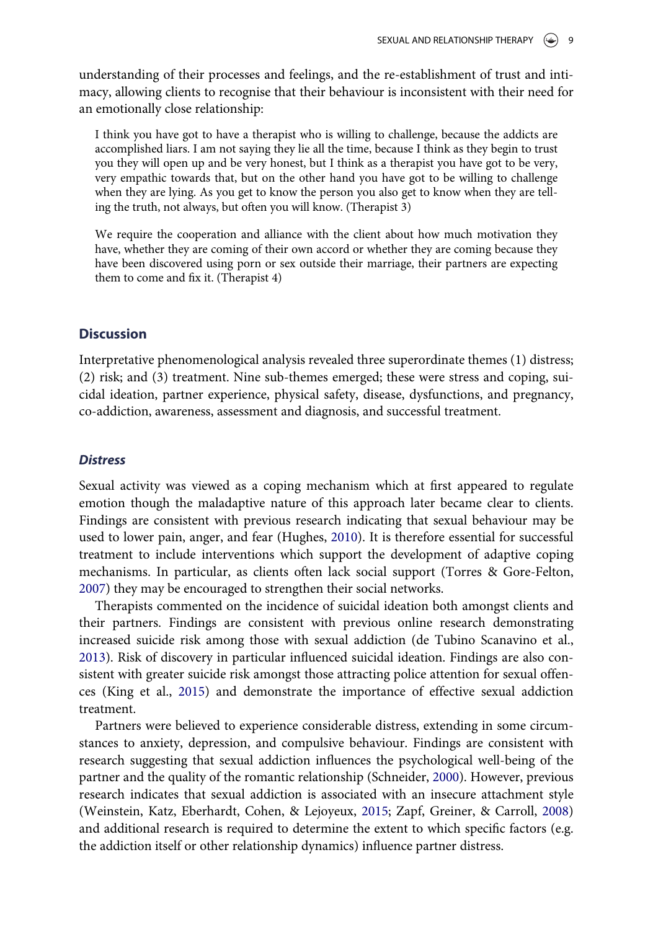understanding of their processes and feelings, and the re-establishment of trust and intimacy, allowing clients to recognise that their behaviour is inconsistent with their need for an emotionally close relationship:

I think you have got to have a therapist who is willing to challenge, because the addicts are accomplished liars. I am not saying they lie all the time, because I think as they begin to trust you they will open up and be very honest, but I think as a therapist you have got to be very, very empathic towards that, but on the other hand you have got to be willing to challenge when they are lying. As you get to know the person you also get to know when they are telling the truth, not always, but often you will know. (Therapist 3)

We require the cooperation and alliance with the client about how much motivation they have, whether they are coming of their own accord or whether they are coming because they have been discovered using porn or sex outside their marriage, their partners are expecting them to come and fix it. (Therapist 4)

### **Discussion**

Interpretative phenomenological analysis revealed three superordinate themes (1) distress; (2) risk; and (3) treatment. Nine sub-themes emerged; these were stress and coping, suicidal ideation, partner experience, physical safety, disease, dysfunctions, and pregnancy, co-addiction, awareness, assessment and diagnosis, and successful treatment.

### **Distress**

<span id="page-9-1"></span>Sexual activity was viewed as a coping mechanism which at first appeared to regulate emotion though the maladaptive nature of this approach later became clear to clients. Findings are consistent with previous research indicating that sexual behaviour may be used to lower pain, anger, and fear (Hughes, [2010](#page-13-10)). It is therefore essential for successful treatment to include interventions which support the development of adaptive coping mechanisms. In particular, as clients often lack social support (Torres & Gore-Felton, [2007\)](#page-14-4) they may be encouraged to strengthen their social networks.

<span id="page-9-4"></span><span id="page-9-0"></span>Therapists commented on the incidence of suicidal ideation both amongst clients and their partners. Findings are consistent with previous online research demonstrating increased suicide risk among those with sexual addiction (de Tubino Scanavino et al., [2013\)](#page-12-10). Risk of discovery in particular influenced suicidal ideation. Findings are also consistent with greater suicide risk amongst those attracting police attention for sexual offences (King et al., [2015\)](#page-13-11) and demonstrate the importance of effective sexual addiction treatment.

<span id="page-9-5"></span><span id="page-9-3"></span><span id="page-9-2"></span>Partners were believed to experience considerable distress, extending in some circumstances to anxiety, depression, and compulsive behaviour. Findings are consistent with research suggesting that sexual addiction influences the psychological well-being of the partner and the quality of the romantic relationship (Schneider, [2000\)](#page-14-5). However, previous research indicates that sexual addiction is associated with an insecure attachment style (Weinstein, Katz, Eberhardt, Cohen, & Lejoyeux, [2015](#page-14-6); Zapf, Greiner, & Carroll, [2008\)](#page-14-7) and additional research is required to determine the extent to which specific factors (e.g. the addiction itself or other relationship dynamics) influence partner distress.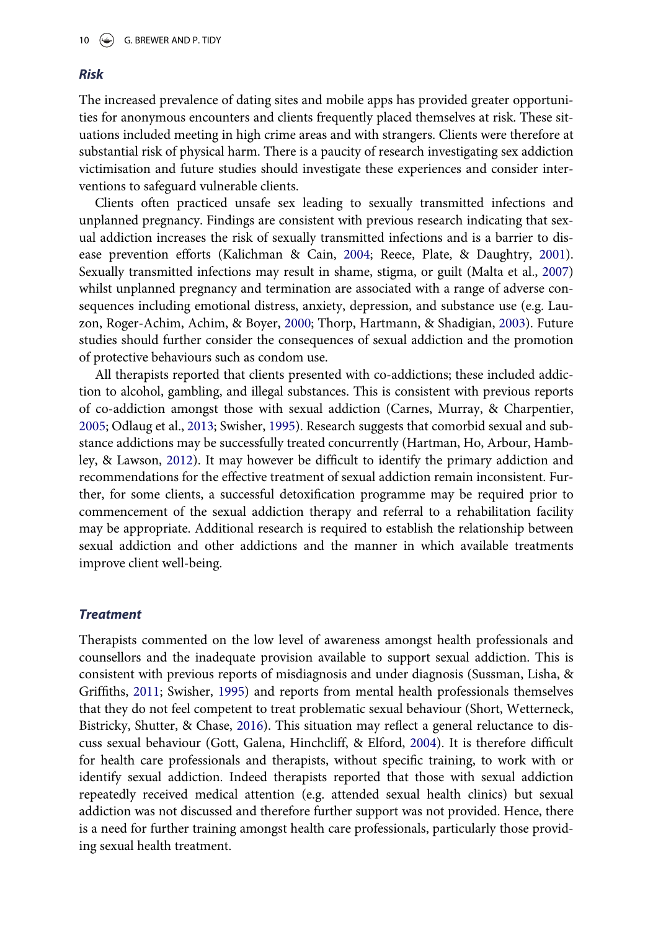### Risk

The increased prevalence of dating sites and mobile apps has provided greater opportunities for anonymous encounters and clients frequently placed themselves at risk. These situations included meeting in high crime areas and with strangers. Clients were therefore at substantial risk of physical harm. There is a paucity of research investigating sex addiction victimisation and future studies should investigate these experiences and consider interventions to safeguard vulnerable clients.

<span id="page-10-5"></span><span id="page-10-3"></span>Clients often practiced unsafe sex leading to sexually transmitted infections and unplanned pregnancy. Findings are consistent with previous research indicating that sexual addiction increases the risk of sexually transmitted infections and is a barrier to disease prevention efforts (Kalichman & Cain, [2004;](#page-13-12) Reece, Plate, & Daughtry, [2001\)](#page-13-13). Sexually transmitted infections may result in shame, stigma, or guilt (Malta et al., [2007\)](#page-13-14) whilst unplanned pregnancy and termination are associated with a range of adverse consequences including emotional distress, anxiety, depression, and substance use (e.g. Lauzon, Roger-Achim, Achim, & Boyer, [2000;](#page-13-15) Thorp, Hartmann, & Shadigian, [2003](#page-14-8)). Future studies should further consider the consequences of sexual addiction and the promotion of protective behaviours such as condom use.

<span id="page-10-4"></span><span id="page-10-2"></span><span id="page-10-0"></span>All therapists reported that clients presented with co-addictions; these included addiction to alcohol, gambling, and illegal substances. This is consistent with previous reports of co-addiction amongst those with sexual addiction (Carnes, Murray, & Charpentier, [2005;](#page-12-11) Odlaug et al., [2013;](#page-13-6) Swisher, [1995](#page-14-9)). Research suggests that comorbid sexual and substance addictions may be successfully treated concurrently (Hartman, Ho, Arbour, Hambley, & Lawson, [2012\)](#page-13-16). It may however be difficult to identify the primary addiction and recommendations for the effective treatment of sexual addiction remain inconsistent. Further, for some clients, a successful detoxification programme may be required prior to commencement of the sexual addiction therapy and referral to a rehabilitation facility may be appropriate. Additional research is required to establish the relationship between sexual addiction and other addictions and the manner in which available treatments improve client well-being.

### **Treatment**

<span id="page-10-7"></span><span id="page-10-6"></span><span id="page-10-1"></span>Therapists commented on the low level of awareness amongst health professionals and counsellors and the inadequate provision available to support sexual addiction. This is consistent with previous reports of misdiagnosis and under diagnosis (Sussman, Lisha, & Griffiths, [2011;](#page-14-10) Swisher, [1995\)](#page-14-9) and reports from mental health professionals themselves that they do not feel competent to treat problematic sexual behaviour (Short, Wetterneck, Bistricky, Shutter, & Chase, [2016\)](#page-14-11). This situation may reflect a general reluctance to discuss sexual behaviour (Gott, Galena, Hinchcliff, & Elford, [2004\)](#page-13-17). It is therefore difficult for health care professionals and therapists, without specific training, to work with or identify sexual addiction. Indeed therapists reported that those with sexual addiction repeatedly received medical attention (e.g. attended sexual health clinics) but sexual addiction was not discussed and therefore further support was not provided. Hence, there is a need for further training amongst health care professionals, particularly those providing sexual health treatment.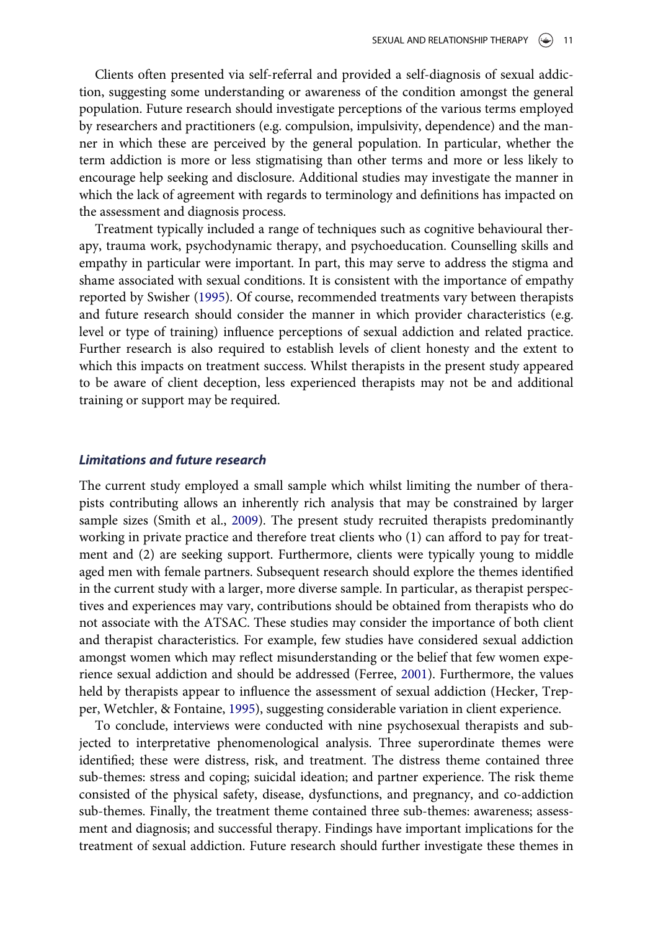Clients often presented via self-referral and provided a self-diagnosis of sexual addiction, suggesting some understanding or awareness of the condition amongst the general population. Future research should investigate perceptions of the various terms employed by researchers and practitioners (e.g. compulsion, impulsivity, dependence) and the manner in which these are perceived by the general population. In particular, whether the term addiction is more or less stigmatising than other terms and more or less likely to encourage help seeking and disclosure. Additional studies may investigate the manner in which the lack of agreement with regards to terminology and definitions has impacted on the assessment and diagnosis process.

Treatment typically included a range of techniques such as cognitive behavioural therapy, trauma work, psychodynamic therapy, and psychoeducation. Counselling skills and empathy in particular were important. In part, this may serve to address the stigma and shame associated with sexual conditions. It is consistent with the importance of empathy reported by Swisher ([1995](#page-14-9)). Of course, recommended treatments vary between therapists and future research should consider the manner in which provider characteristics (e.g. level or type of training) influence perceptions of sexual addiction and related practice. Further research is also required to establish levels of client honesty and the extent to which this impacts on treatment success. Whilst therapists in the present study appeared to be aware of client deception, less experienced therapists may not be and additional training or support may be required.

### Limitations and future research

The current study employed a small sample which whilst limiting the number of therapists contributing allows an inherently rich analysis that may be constrained by larger sample sizes (Smith et al., [2009](#page-14-3)). The present study recruited therapists predominantly working in private practice and therefore treat clients who (1) can afford to pay for treatment and (2) are seeking support. Furthermore, clients were typically young to middle aged men with female partners. Subsequent research should explore the themes identified in the current study with a larger, more diverse sample. In particular, as therapist perspectives and experiences may vary, contributions should be obtained from therapists who do not associate with the ATSAC. These studies may consider the importance of both client and therapist characteristics. For example, few studies have considered sexual addiction amongst women which may reflect misunderstanding or the belief that few women experience sexual addiction and should be addressed (Ferree, [2001](#page-12-12)). Furthermore, the values held by therapists appear to influence the assessment of sexual addiction (Hecker, Trepper, Wetchler, & Fontaine, [1995\)](#page-13-18), suggesting considerable variation in client experience.

<span id="page-11-1"></span><span id="page-11-0"></span>To conclude, interviews were conducted with nine psychosexual therapists and subjected to interpretative phenomenological analysis. Three superordinate themes were identified; these were distress, risk, and treatment. The distress theme contained three sub-themes: stress and coping; suicidal ideation; and partner experience. The risk theme consisted of the physical safety, disease, dysfunctions, and pregnancy, and co-addiction sub-themes. Finally, the treatment theme contained three sub-themes: awareness; assessment and diagnosis; and successful therapy. Findings have important implications for the treatment of sexual addiction. Future research should further investigate these themes in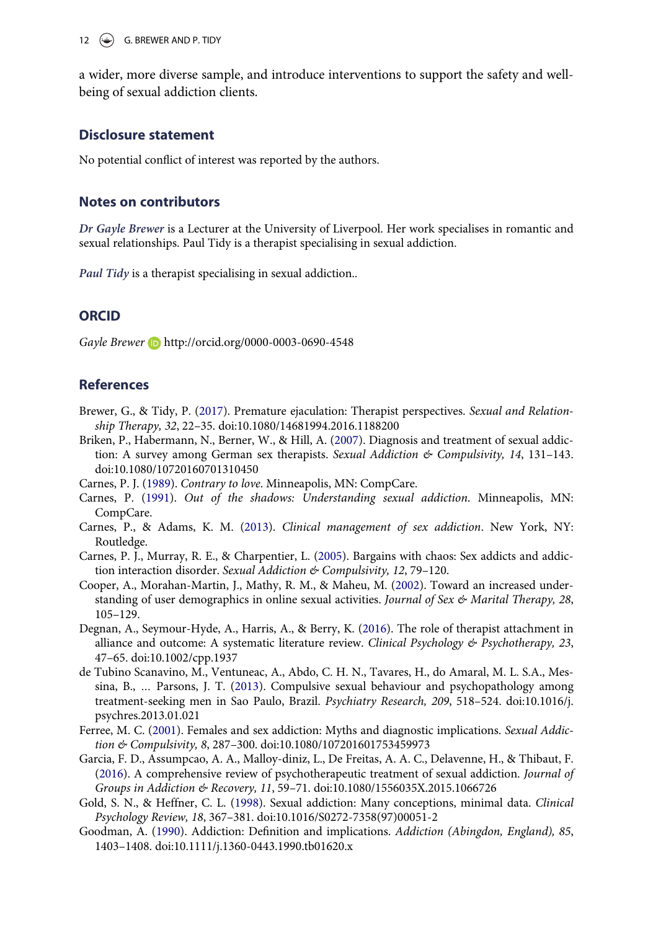a wider, more diverse sample, and introduce interventions to support the safety and wellbeing of sexual addiction clients.

### Disclosure statement

No potential conflict of interest was reported by the authors.

### Notes on contributors

Dr Gayle Brewer is a Lecturer at the University of Liverpool. Her work specialises in romantic and sexual relationships. Paul Tidy is a therapist specialising in sexual addiction.

Paul Tidy is a therapist specialising in sexual addiction..

# **ORCID**

Gayle Brewer **b** <http://orcid.org/0000-0003-0690-4548>

### References

- <span id="page-12-9"></span>Brewer, G., & Tidy, P. ([2017\)](#page-3-1). Premature ejaculation: Therapist perspectives. Sexual and Relationship Therapy, 32, 22–35. doi[:10.1080/14681994.2016.1188200](https://doi.org/10.1080/14681994.2016.1188200)
- <span id="page-12-6"></span>Briken, P., Habermann, N., Berner, W., & Hill, A. ([2007\)](#page-2-0). Diagnosis and treatment of sexual addiction: A survey among German sex therapists. Sexual Addiction & Compulsivity, 14, 131-143. doi:[10.1080/10720160701310450](https://doi.org/10.1080/10720160701310450)
- <span id="page-12-5"></span>Carnes, P. J. ([1989\)](#page-2-1). Contrary to love. Minneapolis, MN: CompCare.
- <span id="page-12-3"></span>Carnes, P. [\(1991](#page-2-2)). Out of the shadows: Understanding sexual addiction. Minneapolis, MN: CompCare.
- <span id="page-12-0"></span>Carnes, P., & Adams, K. M. ([2013\)](#page-1-1). Clinical management of sex addiction. New York, NY: Routledge.
- <span id="page-12-11"></span>Carnes, P. J., Murray, R. E., & Charpentier, L. [\(2005\)](#page-10-0). Bargains with chaos: Sex addicts and addiction interaction disorder. Sexual Addiction & Compulsivity, 12, 79-120.
- <span id="page-12-4"></span>Cooper, A., Morahan-Martin, J., Mathy, R. M., & Maheu, M. ([2002\)](#page-2-3). Toward an increased understanding of user demographics in online sexual activities. Journal of Sex & Marital Therapy, 28, 105–129.
- <span id="page-12-8"></span>Degnan, A., Seymour-Hyde, A., Harris, A., & Berry, K. ([2016](#page-2-4)). The role of therapist attachment in alliance and outcome: A systematic literature review. Clinical Psychology & Psychotherapy, 23, 47–65. doi[:10.1002/cpp.1937](https://doi.org/10.1002/cpp.1937)
- <span id="page-12-10"></span>de Tubino Scanavino, M., Ventuneac, A., Abdo, C. H. N., Tavares, H., do Amaral, M. L. S.A., Messina, B., … Parsons, J. T. [\(2013\)](#page-9-0). Compulsive sexual behaviour and psychopathology among treatment-seeking men in Sao Paulo, Brazil. Psychiatry Research, 209, 518–524. doi:[10.1016/j.](https://doi.org/10.1016/j.psychres.2013.01.021) [psychres.2013.01.021](https://doi.org/10.1016/j.psychres.2013.01.021)
- <span id="page-12-12"></span>Ferree, M. C. [\(2001](#page-11-0)). Females and sex addiction: Myths and diagnostic implications. Sexual Addiction & Compulsivity, 8, 287–300. doi[:10.1080/107201601753459973](https://doi.org/10.1080/107201601753459973)
- <span id="page-12-7"></span>Garcia, F. D., Assumpcao, A. A., Malloy-diniz, L., De Freitas, A. A. C., Delavenne, H., & Thibaut, F. ([2016](#page-2-5)). A comprehensive review of psychotherapeutic treatment of sexual addiction. Journal of Groups in Addiction & Recovery, 11, 59–71. doi[:10.1080/1556035X.2015.1066726](https://doi.org/10.1080/1556035X.2015.1066726)
- <span id="page-12-2"></span>Gold, S. N., & Heffner, C. L. [\(1998](#page-1-2)). Sexual addiction: Many conceptions, minimal data. Clinical Psychology Review, 18, 367–381. doi[:10.1016/S0272-7358\(97\)00051-2](https://doi.org/10.1016/S0272-7358(97)00051-2)
- <span id="page-12-1"></span>Goodman, A. ([1990](#page-1-3)). Addiction: Definition and implications. Addiction (Abingdon, England), 85, 1403–1408. doi[:10.1111/j.1360-0443.1990.tb01620.x](https://doi.org/10.1111/j.1360-0443.1990.tb01620.x)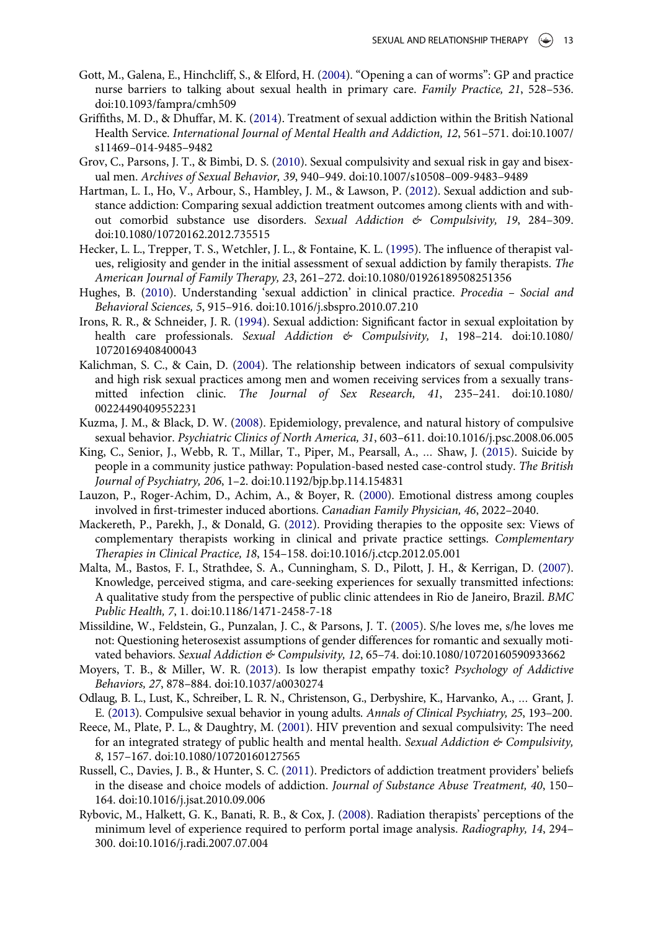- <span id="page-13-17"></span>Gott, M., Galena, E., Hinchcliff, S., & Elford, H. [\(2004](#page-10-1)). "Opening a can of worms": GP and practice nurse barriers to talking about sexual health in primary care. Family Practice, 21, 528–536. doi:[10.1093/fampra/cmh509](https://doi.org/10.1093/fampra/cmh509)
- <span id="page-13-1"></span>Griffiths, M. D., & Dhuffar, M. K. ([2014\)](#page-2-6). Treatment of sexual addiction within the British National Health Service. International Journal of Mental Health and Addiction, 12, 561–571. doi[:10.1007/](https://doi.org/10.1007/s11469--014-9485--9482) s11469–[014-9485](https://doi.org/10.1007/s11469--014-9485--9482)–9482
- <span id="page-13-4"></span>Grov, C., Parsons, J. T., & Bimbi, D. S. ([2010\)](#page-2-0). Sexual compulsivity and sexual risk in gay and bisexual men. Archives of Sexual Behavior, 39, 940–949. doi:[10.1007/s10508](https://doi.org/10.1007/s10508--009-9483--9489)–009-9483–9489
- <span id="page-13-16"></span>Hartman, L. I., Ho, V., Arbour, S., Hambley, J. M., & Lawson, P. [\(2012\)](#page-10-2). Sexual addiction and substance addiction: Comparing sexual addiction treatment outcomes among clients with and without comorbid substance use disorders. Sexual Addiction & Compulsivity, 19, 284-309. doi:[10.1080/10720162.2012.735515](https://doi.org/10.1080/10720162.2012.735515)
- <span id="page-13-18"></span>Hecker, L. L., Trepper, T. S., Wetchler, J. L., & Fontaine, K. L. ([1995\)](#page-11-1). The influence of therapist values, religiosity and gender in the initial assessment of sexual addiction by family therapists. The American Journal of Family Therapy, 23, 261–272. doi[:10.1080/01926189508251356](https://doi.org/10.1080/01926189508251356)
- <span id="page-13-10"></span>Hughes, B. ([2010\)](#page-9-1). Understanding 'sexual addiction' in clinical practice. Procedia – Social and Behavioral Sciences, 5, 915–916. doi:[10.1016/j.sbspro.2010.07.210](https://doi.org/10.1016/j.sbspro.2010.07.210)
- <span id="page-13-5"></span>Irons, R. R., & Schneider, J. R. [\(1994](#page-2-7)). Sexual addiction: Significant factor in sexual exploitation by health care professionals. Sexual Addiction & Compulsivity, 1, 198–214. doi[:10.1080/](https://doi.org/10.1080/10720169408400043) [10720169408400043](https://doi.org/10.1080/10720169408400043)
- <span id="page-13-12"></span>Kalichman, S. C., & Cain, D. ([2004](#page-10-3)). The relationship between indicators of sexual compulsivity and high risk sexual practices among men and women receiving services from a sexually transmitted infection clinic. The Journal of Sex Research, 41, 235–241. doi[:10.1080/](https://doi.org/10.1080/00224490409552231) [00224490409552231](https://doi.org/10.1080/00224490409552231)
- <span id="page-13-2"></span>Kuzma, J. M., & Black, D. W. ([2008\)](#page-2-8). Epidemiology, prevalence, and natural history of compulsive sexual behavior. Psychiatric Clinics of North America, 31, 603–611. doi[:10.1016/j.psc.2008.06.005](https://doi.org/10.1016/j.psc.2008.06.005)
- <span id="page-13-11"></span>King, C., Senior, J., Webb, R. T., Millar, T., Piper, M., Pearsall, A., … Shaw, J. [\(2015\)](#page-9-2). Suicide by people in a community justice pathway: Population-based nested case-control study. The British Journal of Psychiatry, 206, 1–2. doi[:10.1192/bjp.bp.114.154831](https://doi.org/10.1192/bjp.bp.114.154831)
- <span id="page-13-15"></span>Lauzon, P., Roger-Achim, D., Achim, A., & Boyer, R. ([2000\)](#page-10-4). Emotional distress among couples involved in first-trimester induced abortions. Canadian Family Physician, 46, 2022–2040.
- <span id="page-13-7"></span>Mackereth, P., Parekh, J., & Donald, G. [\(2012](#page-2-9)). Providing therapies to the opposite sex: Views of complementary therapists working in clinical and private practice settings. Complementary Therapies in Clinical Practice, 18, 154–158. doi:[10.1016/j.ctcp.2012.05.001](https://doi.org/10.1016/j.ctcp.2012.05.001)
- <span id="page-13-14"></span>Malta, M., Bastos, F. I., Strathdee, S. A., Cunningham, S. D., Pilott, J. H., & Kerrigan, D. ([2007](#page-10-5)). Knowledge, perceived stigma, and care-seeking experiences for sexually transmitted infections: A qualitative study from the perspective of public clinic attendees in Rio de Janeiro, Brazil. BMC Public Health, 7, 1. doi:[10.1186/1471-2458-7-18](https://doi.org/10.1186/1471-2458-7-18)
- <span id="page-13-3"></span>Missildine, W., Feldstein, G., Punzalan, J. C., & Parsons, J. T. ([2005\)](#page-2-10). S/he loves me, s/he loves me not: Questioning heterosexist assumptions of gender differences for romantic and sexually moti-vated behaviors. Sexual Addiction & Compulsivity, 12, 65-74. doi:[10.1080/10720160590933662](https://doi.org/10.1080/10720160590933662)
- <span id="page-13-9"></span>Moyers, T. B., & Miller, W. R. ([2013\)](#page-2-4). Is low therapist empathy toxic? Psychology of Addictive Behaviors, 27, 878–884. doi[:10.1037/a0030274](https://doi.org/10.1037/a0030274)
- <span id="page-13-6"></span>Odlaug, B. L., Lust, K., Schreiber, L. R. N., Christenson, G., Derbyshire, K., Harvanko, A., … Grant, J. E. ([2013](#page-2-8)). Compulsive sexual behavior in young adults. Annals of Clinical Psychiatry, 25, 193–200.
- <span id="page-13-13"></span>Reece, M., Plate, P. L., & Daughtry, M. ([2001\)](#page-10-3). HIV prevention and sexual compulsivity: The need for an integrated strategy of public health and mental health. Sexual Addiction & Compulsivity, 8, 157–167. doi[:10.1080/10720160127565](https://doi.org/10.1080/10720160127565)
- <span id="page-13-0"></span>Russell, C., Davies, J. B., & Hunter, S. C. [\(2011](#page-2-11)). Predictors of addiction treatment providers' beliefs in the disease and choice models of addiction. Journal of Substance Abuse Treatment, 40, 150– 164. doi:[10.1016/j.jsat.2010.09.006](https://doi.org/10.1016/j.jsat.2010.09.006)
- <span id="page-13-8"></span>Rybovic, M., Halkett, G. K., Banati, R. B., & Cox, J. ([2008\)](#page-2-9). Radiation therapists' perceptions of the minimum level of experience required to perform portal image analysis. Radiography, 14, 294– 300. doi:[10.1016/j.radi.2007.07.004](https://doi.org/10.1016/j.radi.2007.07.004)